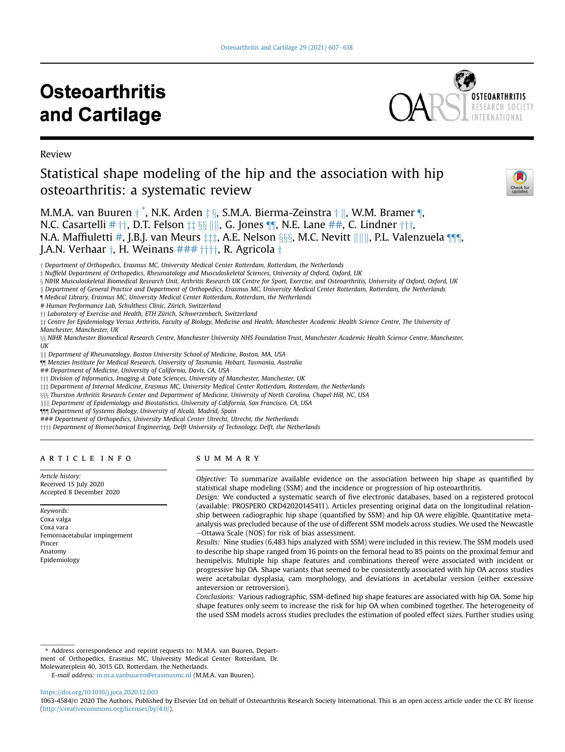# **Osteoarthritis** and Cartilage



Review

# Statistical shape modeling of the hip and the association with hip osteoarthritis: a systematic review



M.M.A. van Buuren † [\\*](#page-0-0), N.K. Arden ‡ §, S.M.A. Bierma-Zeinstra † ||, W.M. Bramer [¶](#page-0-1), N.C. Casartelli  $# \dagger \dagger$  $# \dagger \dagger$ , D.T. Felson  $\sharp \S \S$  ||||, G. Jones ¶, N.E. Lane  $\sharp \dagger \dagger$ , C. Lindner  $\dagger \dagger \dagger$ , N.A. Maffiuletti [#](#page-0-2), J.B.J. van Meurs  $\pm \pm i$ , A.E. Nelson  $\S$ §§, M.C. Nevitt ||||||, P.L. Valenzuela ¶¶, J.A.N. Verhaar  $\dagger$ , H. Weinans  $\# \# \dagger \dagger \dagger \dagger$ , R. Agricola  $\dagger$ 

<sup>†</sup> Department of Orthopedics, Erasmus MC, University Medical Center Rotterdam, Rotterdam, the Netherlands

z Nuffield Department of Orthopedics, Rheumatology and Musculoskeletal Sciences, University of Oxford, Oxford, UK

x NIHR Musculoskeletal Biomedical Research Unit, Arthritis Research UK Centre for Sport, Exercise, and Osteoarthritis, University of Oxford, Oxford, UK

k Department of General Practice and Department of Orthopedics, Erasmus MC, University Medical Center Rotterdam, Rotterdam, the Netherlands

<span id="page-0-1"></span>¶ Medical Library, Erasmus MC, University Medical Center Rotterdam, Rotterdam, the Netherlands

<span id="page-0-2"></span># Human Performance Lab, Schulthess Clinic, Zürich, Switzerland

<sup>††</sup> Laboratory of Exercise and Health, ETH Zürich, Schwerzenbach, Switzerland

 $\ddagger\ddagger$  Centre for Epidemiology Versus Arthritis, Faculty of Biology, Medicine and Health, Manchester Academic Health Science Centre, The University of

Manchester, Manchester, UK

 $\S$ <sub>§</sub> NIHR Manchester Biomedical Research Centre, Manchester University NHS Foundation Trust, Manchester Academic Health Science Centre, Manchester, UK

|||| Department of Rheumatology, Boston University School of Medicine, Boston, MA, USA

<span id="page-0-3"></span>¶¶ Menzies Institute for Medical Research, University of Tasmania, Hobart, Tasmania, Australia

<span id="page-0-4"></span>## Department of Medicine, University of California, Davis, CA, USA

<sup>†††</sup> Division of Informatics, Imaging & Data Sciences, University of Manchester, Manchester, UK

 $\ddagger$  Department of Internal Medicine, Erasmus MC, University Medical Center Rotterdam, Rotterdam, the Netherlands

 $888$  Thurston Arthritis Research Center and Department of Medicine, University of North Carolina, Chapel Hill, NC, USA

||||| Department of Epidemiology and Biostatistics, University of California, San Francisco, CA, USA

<span id="page-0-5"></span>¶¶¶ Department of Systems Biology, University of Alcala, Madrid, Spain

<span id="page-0-6"></span>### Department of Orthopedics, University Medical Center Utrecht, Utrecht, the Netherlands

 $\dagger \dagger \dagger \dagger$  Department of Biomechanical Engineering, Delft University of Technology, Delft, the Netherlands

# article info

Article history: Received 15 July 2020 Accepted 8 December 2020

Keywords: Coxa valga Coxa vara Femoroacetabular impingement Pincer Anatomy Epidemiology

#### SUMMARY

Objective: To summarize available evidence on the association between hip shape as quantified by statistical shape modeling (SSM) and the incidence or progression of hip osteoarthritis.

Design: We conducted a systematic search of five electronic databases, based on a registered protocol (available: PROSPERO CRD42020145411). Articles presenting original data on the longitudinal relationship between radiographic hip shape (quantified by SSM) and hip OA were eligible. Quantitative metaanalysis was precluded because of the use of different SSM models across studies. We used the Newcastle -Ottawa Scale (NOS) for risk of bias assessment.

Results: Nine studies (6,483 hips analyzed with SSM) were included in this review. The SSM models used to describe hip shape ranged from 16 points on the femoral head to 85 points on the proximal femur and hemipelvis. Multiple hip shape features and combinations thereof were associated with incident or progressive hip OA. Shape variants that seemed to be consistently associated with hip OA across studies were acetabular dysplasia, cam morphology, and deviations in acetabular version (either excessive anteversion or retroversion).

Conclusions: Various radiographic, SSM-defined hip shape features are associated with hip OA. Some hip shape features only seem to increase the risk for hip OA when combined together. The heterogeneity of the used SSM models across studies precludes the estimation of pooled effect sizes. Further studies using

<span id="page-0-0"></span>\* Address correspondence and reprint requests to: M.M.A. van Buuren, Department of Orthopedics, Erasmus MC, University Medical Center Rotterdam, Dr.

Molewaterplein 40, 3015 GD, Rotterdam, the Netherlands.

<https://doi.org/10.1016/j.joca.2020.12.003>

E-mail address: [m.m.a.vanbuuren@erasmusmc.nl](mailto:m.m.a.vanbuuren@erasmusmc.nl) (M.M.A. van Buuren).

<sup>1063-4584/</sup>© 2020 The Authors. Published by Elsevier Ltd on behalf of Osteoarthritis Research Society International. This is an open access article under the CC BY license ([http://creativecommons.org/licenses/by/4.0/\)](http://creativecommons.org/licenses/by/4.0/).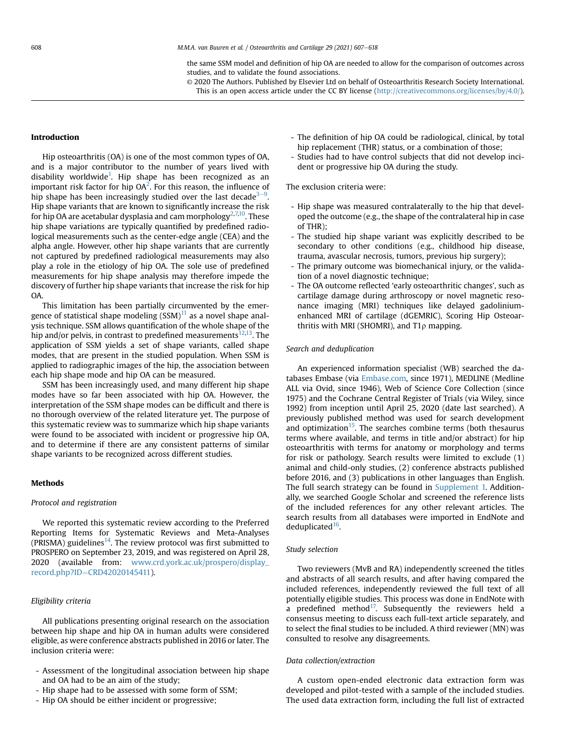the same SSM model and definition of hip OA are needed to allow for the comparison of outcomes across studies, and to validate the found associations.

© 2020 The Authors. Published by Elsevier Ltd on behalf of Osteoarthritis Research Society International. This is an open access article under the CC BY license [\(http://creativecommons.org/licenses/by/4.0/](http://creativecommons.org/licenses/by/4.0/)).

#### Introduction

Hip osteoarthritis (OA) is one of the most common types of OA, and is a major contributor to the number of years lived with disability worldwide<sup>[1](#page-9-0)</sup>. Hip shape has been recognized as an important risk factor for hip OA<sup>2</sup>. For this reason, the influence of hip shape has been increasingly studied over the last decade<sup>3–[9](#page-9-0)</sup>. Hip shape variants that are known to significantly increase the risk for hip OA are acetabular dysplasia and cam morphology<sup>[2](#page-9-0),[7,](#page-9-0)[10](#page-10-0)</sup>. These hip shape variations are typically quantified by predefined radiological measurements such as the center-edge angle (CEA) and the alpha angle. However, other hip shape variants that are currently not captured by predefined radiological measurements may also play a role in the etiology of hip OA. The sole use of predefined measurements for hip shape analysis may therefore impede the discovery of further hip shape variants that increase the risk for hip OA.

This limitation has been partially circumvented by the emergence of statistical shape modeling  $(SSM)^{11}$  $(SSM)^{11}$  $(SSM)^{11}$  as a novel shape analysis technique. SSM allows quantification of the whole shape of the hip and/or pelvis, in contrast to predefined measurements $12,13$  $12,13$ . The application of SSM yields a set of shape variants, called shape modes, that are present in the studied population. When SSM is applied to radiographic images of the hip, the association between each hip shape mode and hip OA can be measured.

SSM has been increasingly used, and many different hip shape modes have so far been associated with hip OA. However, the interpretation of the SSM shape modes can be difficult and there is no thorough overview of the related literature yet. The purpose of this systematic review was to summarize which hip shape variants were found to be associated with incident or progressive hip OA, and to determine if there are any consistent patterns of similar shape variants to be recognized across different studies.

#### **Methods**

#### Protocol and registration

We reported this systematic review according to the Preferred Reporting Items for Systematic Reviews and Meta-Analyses (PRISMA) guidelines<sup>14</sup>. The review protocol was first submitted to PROSPERO on September 23, 2019, and was registered on April 28, 2020 (available from: [www.crd.york.ac.uk/prospero/display\\_](http://www.crd.york.ac.uk/prospero/display_record.php?ID=CRD42020145411) [record.php?ID](http://www.crd.york.ac.uk/prospero/display_record.php?ID=CRD42020145411)=[CRD42020145411\)](http://www.crd.york.ac.uk/prospero/display_record.php?ID=CRD42020145411).

## Eligibility criteria

All publications presenting original research on the association between hip shape and hip OA in human adults were considered eligible, as were conference abstracts published in 2016 or later. The inclusion criteria were:

- Assessment of the longitudinal association between hip shape and OA had to be an aim of the study;
- Hip shape had to be assessed with some form of SSM;
- Hip OA should be either incident or progressive;
- The definition of hip OA could be radiological, clinical, by total hip replacement (THR) status, or a combination of those;
- Studies had to have control subjects that did not develop incident or progressive hip OA during the study.

The exclusion criteria were:

- Hip shape was measured contralaterally to the hip that developed the outcome (e.g., the shape of the contralateral hip in case of THR);
- The studied hip shape variant was explicitly described to be secondary to other conditions (e.g., childhood hip disease, trauma, avascular necrosis, tumors, previous hip surgery);
- The primary outcome was biomechanical injury, or the validation of a novel diagnostic technique;
- The OA outcome reflected 'early osteoarthritic changes', such as cartilage damage during arthroscopy or novel magnetic resonance imaging (MRI) techniques like delayed gadoliniumenhanced MRI of cartilage (dGEMRIC), Scoring Hip Osteoarthritis with MRI (SHOMRI), and  $T1\rho$  mapping.

#### Search and deduplication

An experienced information specialist (WB) searched the databases Embase (via [Embase.com](http://Embase.com), since 1971), MEDLINE (Medline ALL via Ovid, since 1946), Web of Science Core Collection (since 1975) and the Cochrane Central Register of Trials (via Wiley, since 1992) from inception until April 25, 2020 (date last searched). A previously published method was used for search development and optimization $15$ . The searches combine terms (both thesaurus terms where available, and terms in title and/or abstract) for hip osteoarthritis with terms for anatomy or morphology and terms for risk or pathology. Search results were limited to exclude (1) animal and child-only studies, (2) conference abstracts published before 2016, and (3) publications in other languages than English. The full search strategy can be found in Supplement 1. Additionally, we searched Google Scholar and screened the reference lists of the included references for any other relevant articles. The search results from all databases were imported in EndNote and deduplicated $16$ .

#### Study selection

Two reviewers (MvB and RA) independently screened the titles and abstracts of all search results, and after having compared the included references, independently reviewed the full text of all potentially eligible studies. This process was done in EndNote with a predefined method<sup>17</sup>. Subsequently the reviewers held a consensus meeting to discuss each full-text article separately, and to select the final studies to be included. A third reviewer (MN) was consulted to resolve any disagreements.

#### Data collection/extraction

A custom open-ended electronic data extraction form was developed and pilot-tested with a sample of the included studies. The used data extraction form, including the full list of extracted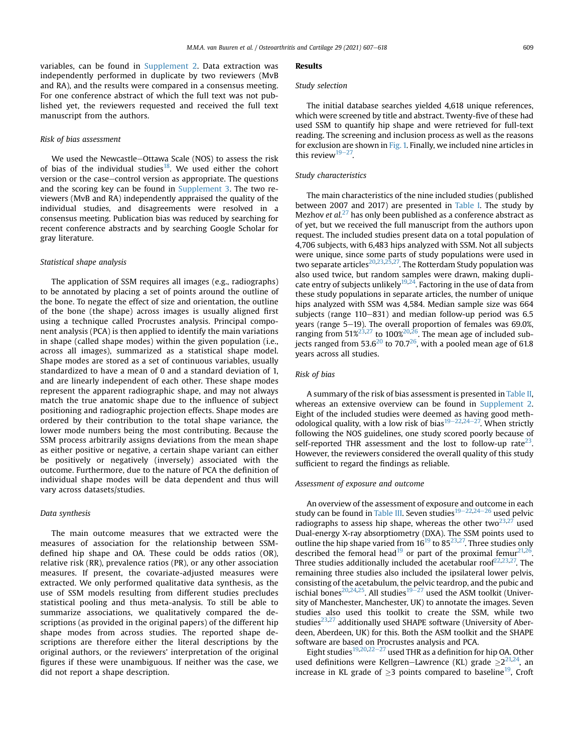variables, can be found in Supplement 2. Data extraction was independently performed in duplicate by two reviewers (MvB and RA), and the results were compared in a consensus meeting. For one conference abstract of which the full text was not published yet, the reviewers requested and received the full text manuscript from the authors.

#### Risk of bias assessment

We used the Newcastle-Ottawa Scale (NOS) to assess the risk of bias of the individual studies<sup>[18](#page-10-0)</sup>. We used either the cohort version or the case-control version as appropriate. The questions and the scoring key can be found in Supplement 3. The two reviewers (MvB and RA) independently appraised the quality of the individual studies, and disagreements were resolved in a consensus meeting. Publication bias was reduced by searching for recent conference abstracts and by searching Google Scholar for gray literature.

#### Statistical shape analysis

The application of SSM requires all images (e.g., radiographs) to be annotated by placing a set of points around the outline of the bone. To negate the effect of size and orientation, the outline of the bone (the shape) across images is usually aligned first using a technique called Procrustes analysis. Principal component analysis (PCA) is then applied to identify the main variations in shape (called shape modes) within the given population (i.e., across all images), summarized as a statistical shape model. Shape modes are stored as a set of continuous variables, usually standardized to have a mean of 0 and a standard deviation of 1, and are linearly independent of each other. These shape modes represent the apparent radiographic shape, and may not always match the true anatomic shape due to the influence of subject positioning and radiographic projection effects. Shape modes are ordered by their contribution to the total shape variance, the lower mode numbers being the most contributing. Because the SSM process arbitrarily assigns deviations from the mean shape as either positive or negative, a certain shape variant can either be positively or negatively (inversely) associated with the outcome. Furthermore, due to the nature of PCA the definition of individual shape modes will be data dependent and thus will vary across datasets/studies.

#### Data synthesis

The main outcome measures that we extracted were the measures of association for the relationship between SSMdefined hip shape and OA. These could be odds ratios (OR), relative risk (RR), prevalence ratios (PR), or any other association measures. If present, the covariate-adjusted measures were extracted. We only performed qualitative data synthesis, as the use of SSM models resulting from different studies precludes statistical pooling and thus meta-analysis. To still be able to summarize associations, we qualitatively compared the descriptions (as provided in the original papers) of the different hip shape modes from across studies. The reported shape descriptions are therefore either the literal descriptions by the original authors, or the reviewers' interpretation of the original figures if these were unambiguous. If neither was the case, we did not report a shape description.

#### Results

#### Study selection

The initial database searches yielded 4,618 unique references, which were screened by title and abstract. Twenty-five of these had used SSM to quantify hip shape and were retrieved for full-text reading. The screening and inclusion process as well as the reasons for exclusion are shown in [Fig. 1.](#page-3-0) Finally, we included nine articles in this review $19-27$  $19-27$ .

#### Study characteristics

The main characteristics of the nine included studies (published between 2007 and 2017) are presented in [Table I.](#page-4-0) The study by Mezhov et  $al.^{27}$  $al.^{27}$  $al.^{27}$  has only been published as a conference abstract as of yet, but we received the full manuscript from the authors upon request. The included studies present data on a total population of 4,706 subjects, with 6,483 hips analyzed with SSM. Not all subjects were unique, since some parts of study populations were used in two separate articles<sup>[20,23,25](#page-10-0),27</sup>. The Rotterdam Study population was also used twice, but random samples were drawn, making dupli-cate entry of subjects unlikely<sup>[19,24](#page-10-0)</sup>. Factoring in the use of data from these study populations in separate articles, the number of unique hips analyzed with SSM was 4,584. Median sample size was 664 subjects (range  $110-831$ ) and median follow-up period was  $6.5$ years (range 5-19). The overall proportion of females was 69.0%, ranging from  $51\frac{\cancel{2}^{3}}{27}$  to  $100\frac{\cancel{2}^{2}}{26}$ . The mean age of included sub-jects ranged from 53.6<sup>[20](#page-10-0)</sup> to 70.7<sup>26</sup>, with a pooled mean age of 61.8 years across all studies.

#### Risk of bias

A summary of the risk of bias assessment is presented in [Table II,](#page-5-0) whereas an extensive overview can be found in Supplement 2. Eight of the included studies were deemed as having good meth-odological quality, with a low risk of bias<sup>[19](#page-10-0)–[22,24](#page-10-0)–27</sup>. When strictly following the NOS guidelines, one study scored poorly because of self-reported THR assessment and the lost to follow-up rate<sup>23</sup>. However, the reviewers considered the overall quality of this study sufficient to regard the findings as reliable.

#### Assessment of exposure and outcome

An overview of the assessment of exposure and outcome in each study can be found in [Table III](#page-5-0). Seven studies $19-22,24-26$  $19-22,24-26$  $19-22,24-26$  $19-22,24-26$  $19-22,24-26$  used pelvic radiographs to assess hip shape, whereas the other two $23,27$  $23,27$  used Dual-energy X-ray absorptiometry (DXA). The SSM points used to outline the hip shape varied from  $16^{19}$  $16^{19}$  $16^{19}$  to  $85^{23,27}$  $85^{23,27}$  $85^{23,27}$ . Three studies only described the femoral head<sup>[19](#page-10-0)</sup> or part of the proximal femur<sup>21,26</sup>. Three studies additionally included the acetabular roof $22,23,27$  $22,23,27$ . The remaining three studies also included the ipsilateral lower pelvis, consisting of the acetabulum, the pelvic teardrop, and the pubic and ischial bones<sup>[20](#page-10-0),[24,25](#page-10-0)</sup>. All studies<sup>19-[27](#page-10-0)</sup> used the ASM toolkit (University of Manchester, Manchester, UK) to annotate the images. Seven studies also used this toolkit to create the SSM, while two studies $^{23,27}$  $^{23,27}$  $^{23,27}$  $^{23,27}$  $^{23,27}$  additionally used SHAPE software (University of Aberdeen, Aberdeen, UK) for this. Both the ASM toolkit and the SHAPE software are based on Procrustes analysis and PCA.

Eight studies<sup>[19](#page-10-0),[20,22](#page-10-0)–[27](#page-10-0)</sup> used THR as a definition for hip OA. Other used definitions were Kellgren–Lawrence (KL) grade  $\geq 2^{21,24}$ , and increase in KL grade of  $\geq$ 3 points compared to baseline<sup>[19](#page-10-0)</sup>, Croft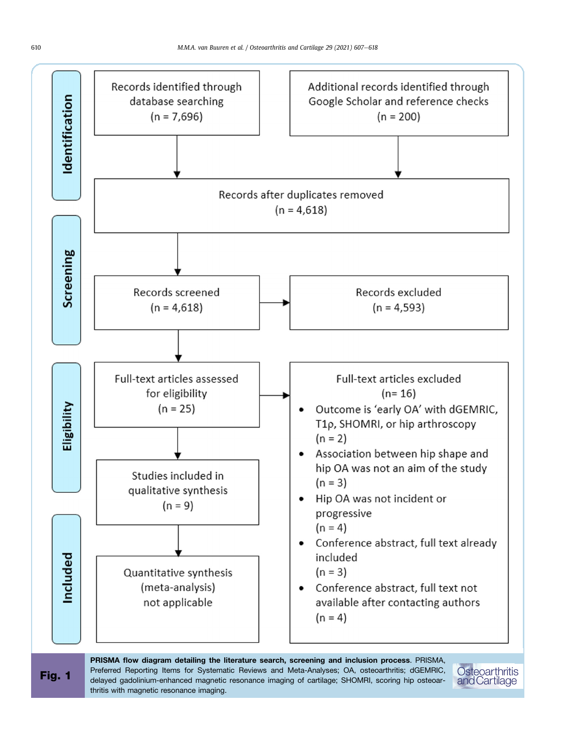<span id="page-3-0"></span>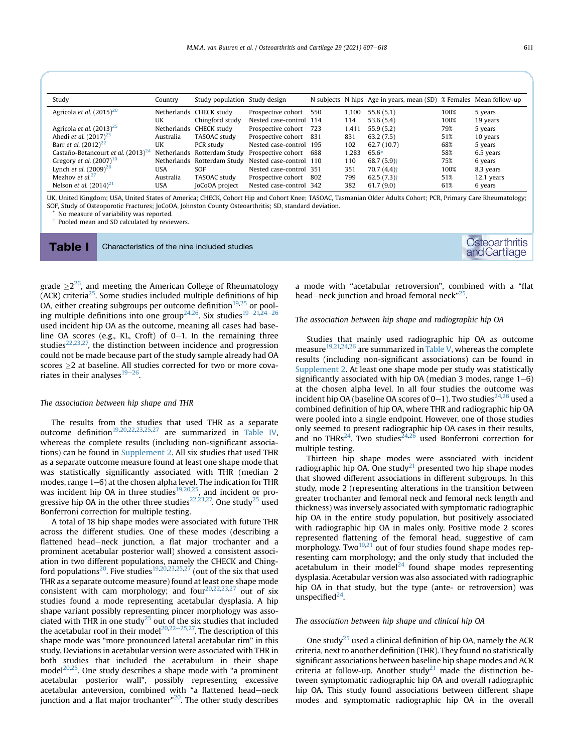<span id="page-4-0"></span>

| Study                                   | Country   | Study population Study design |                         |     |       | N subjects N hips Age in years, mean (SD) % Females Mean follow-up |      |            |
|-----------------------------------------|-----------|-------------------------------|-------------------------|-----|-------|--------------------------------------------------------------------|------|------------|
| Agricola et al. $(2015)^{20}$           |           | Netherlands CHECK study       | Prospective cohort      | 550 | 1.100 | 55.8(5.1)                                                          | 100% | 5 years    |
|                                         | UK        | Chingford study               | Nested case-control 114 |     | 114   | 53.6(5.4)                                                          | 100% | 19 years   |
| Agricola et al. $(2013)^{25}$           |           | Netherlands CHECK study       | Prospective cohort      | 723 | 1.411 | 55.9(5.2)                                                          | 79%  | 5 years    |
| Ahedi <i>et al.</i> $(2017)^{23}$       | Australia | TASOAC study                  | Prospective cohort      | 831 | 831   | 63.2(7.5)                                                          | 51%  | 10 years   |
| Barr <i>et al.</i> $(2012)^{22}$        | UK        | PCR study                     | Nested case-control 195 |     | 102   | 62.7(10.7)                                                         | 68%  | 5 years    |
| Castaño-Betancourt et al. $(2013)^{24}$ |           | Netherlands Rotterdam Study   | Prospective cohort      | 688 | .283  | 65.6*                                                              | 58%  | 6.5 years  |
| Gregory et al. $(2007)^{19}$            |           | Netherlands Rotterdam Study   | Nested case-control 110 |     | 110   | $68.7(5.9)$ <sup>+</sup>                                           | 75%  | 6 years    |
| Lynch <i>et al.</i> $(2009)^{26}$       | USA       | <b>SOF</b>                    | Nested case-control 351 |     | 351   | $70.7(4.4)$ <sup>+</sup>                                           | 100% | 8.3 years  |
| Mezhov et $al^{27}$                     | Australia | TASOAC study                  | Prospective cohort      | 802 | 799   | $62.5(7.3)$ <sup>+</sup>                                           | 51%  | 12.1 years |
| Nelson <i>et al.</i> $(2014)^{21}$      | USA       | JoCoOA project                | Nested case-control 342 |     | 382   | 61.7(9.0)                                                          | 61%  | 6 years    |

UK, United Kingdom; USA, United States of America; CHECK, Cohort Hip and Cohort Knee; TASOAC, Tasmanian Older Adults Cohort; PCR, Primary Care Rheumatology; SOF, Study of Osteoporotic Fractures; JoCoOA, Johnston County Osteoarthritis; SD, standard deviation.

No measure of variability was reported.

<sup>†</sup> Pooled mean and SD calculated by reviewers.

Table I Characteristics of the nine included studies Contracteristics of the nine included studies Contracteristics of the nine included studies Contracteristics of the nine included studies Contracteristics of the nine in

a mode with "acetabular retroversion", combined with a "flat head–neck junction and broad femoral neck"<sup>[25](#page-10-0)</sup>.

#### The association between hip shape and radiographic hip OA

Studies that mainly used radiographic hip OA as outcome measure<sup>[19](#page-10-0),[21,24,26](#page-10-0)</sup> are summarized in [Table V,](#page-7-0) whereas the complete results (including non-significant associations) can be found in Supplement 2. At least one shape mode per study was statistically significantly associated with hip OA (median 3 modes, range  $1-6$ ) at the chosen alpha level. In all four studies the outcome was incident hip OA (baseline OA scores of  $0-1$ ). Two studies<sup>24,[26](#page-10-0)</sup> used a combined definition of hip OA, where THR and radiographic hip OA were pooled into a single endpoint. However, one of those studies only seemed to present radiographic hip OA cases in their results, and no THRs<sup>24</sup>. Two studies<sup>24,26</sup> used Bonferroni correction for multiple testing.

Thirteen hip shape modes were associated with incident radiographic hip OA. One study<sup>[21](#page-10-0)</sup> presented two hip shape modes that showed different associations in different subgroups. In this study, mode 2 (representing alterations in the transition between greater trochanter and femoral neck and femoral neck length and thickness) was inversely associated with symptomatic radiographic hip OA in the entire study population, but positively associated with radiographic hip OA in males only. Positive mode 2 scores represented flattening of the femoral head, suggestive of cam morphology. Two $19,21$  out of four studies found shape modes representing cam morphology; and the only study that included the acetabulum in their model<sup>[24](#page-10-0)</sup> found shape modes representing dysplasia. Acetabular version was also associated with radiographic hip OA in that study, but the type (ante- or retroversion) was unspecified $^{24}$ .

#### The association between hip shape and clinical hip OA

One study<sup>[25](#page-10-0)</sup> used a clinical definition of hip OA, namely the ACR criteria, next to another definition (THR). They found no statistically significant associations between baseline hip shape modes and ACR criteria at follow-up. Another study<sup>[21](#page-10-0)</sup> made the distinction between symptomatic radiographic hip OA and overall radiographic hip OA. This study found associations between different shape modes and symptomatic radiographic hip OA in the overall

grade  $\geq$ 2<sup>[26](#page-10-0)</sup>, and meeting the American College of Rheumatology  $(ACR)$  criteria<sup>25</sup>. Some studies included multiple definitions of hip OA, either creating subgroups per outcome definition<sup>19,25</sup> or pool-ing multiple definitions into one group<sup>[24,26](#page-10-0)</sup>. Six studies<sup>[19](#page-10-0)–[21,24](#page-10-0)–[26](#page-10-0)</sup> used incident hip OA as the outcome, meaning all cases had baseline OA scores (e.g., KL, Croft) of  $0-1$ . In the remaining three studies $22,23,27$  $22,23,27$ , the distinction between incidence and progression could not be made because part of the study sample already had OA scores  $\geq$  2 at baseline. All studies corrected for two or more covariates in their analyses $19-26$  $19-26$ .

#### The association between hip shape and THR

The results from the studies that used THR as a separate outcome definition<sup>19,[20,22](#page-10-0),[23,25](#page-10-0),[27](#page-10-0)</sup> are summarized in [Table IV,](#page-6-0) whereas the complete results (including non-significant associations) can be found in Supplement 2. All six studies that used THR as a separate outcome measure found at least one shape mode that was statistically significantly associated with THR (median 2 modes, range  $1-6$ ) at the chosen alpha level. The indication for THR was incident hip OA in three studies $19,20,25$  $19,20,25$  $19,20,25$ , and incident or pro-gressive hip OA in the other three studies<sup>[22](#page-10-0),23,27</sup>. One study<sup>25</sup> used Bonferroni correction for multiple testing.

A total of 18 hip shape modes were associated with future THR across the different studies. One of these modes (describing a flattened head-neck junction, a flat major trochanter and a prominent acetabular posterior wall) showed a consistent association in two different populations, namely the CHECK and Ching-ford populations<sup>20</sup>. Five studies<sup>19,[20,23](#page-10-0),[25,27](#page-10-0)</sup> (out of the six that used THR as a separate outcome measure) found at least one shape mode consistent with cam morphology; and four<sup>20,22,[23,27](#page-10-0)</sup> out of six studies found a mode representing acetabular dysplasia. A hip shape variant possibly representing pincer morphology was associated with THR in one study<sup>25</sup> out of the six studies that included the acetabular roof in their model<sup>[20,22](#page-10-0)–[25](#page-10-0),27</sup>. The description of this shape mode was "more pronounced lateral acetabular rim" in this study. Deviations in acetabular version were associated with THR in both studies that included the acetabulum in their shape  $model^{20,25}$ . One study describes a shape mode with "a prominent acetabular posterior wall", possibly representing excessive acetabular anteversion, combined with "a flattened head-neck junction and a flat major trochanter"<sup>20</sup>. The other study describes

Osteoarthritis<br>and Cartilage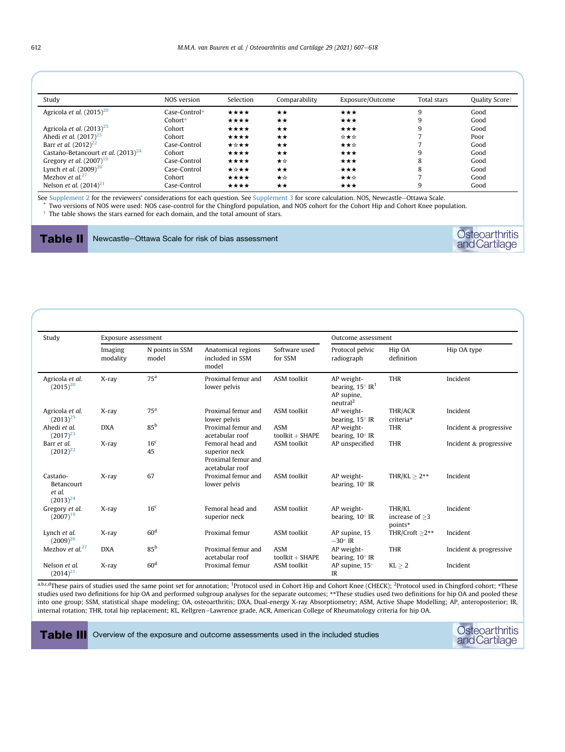<span id="page-5-0"></span>

| Study                                   | NOS version   | Selection | Comparability | Exposure/Outcome | Total stars | Quality Scoret |
|-----------------------------------------|---------------|-----------|---------------|------------------|-------------|----------------|
| Agricola et al. $(2015)^{20}$           | Case-Control* | $***$     | $\star\star$  | ***              | 9           | Good           |
|                                         | Cohort*       | $***$     | $\star\star$  | ***              | 9           | Good           |
| Agricola et al. $(2013)^{25}$           | Cohort        | $***$     | $\star\star$  | ***              | 9           | Good           |
| Ahedi <i>et al.</i> $(2017)^{23}$       | Cohort        | ****      | $\star\star$  | ☆★☆              |             | Poor           |
| Barr <i>et al.</i> $(2012)^{22}$        | Case-Control  | ★☆★★      | $\star\star$  | ★★☆              |             | Good           |
| Castaño-Betancourt et al. $(2013)^{24}$ | Cohort        | $***$     | $\star\star$  | ***              | 9           | Good           |
| Gregory et al. $(2007)^{19}$            | Case-Control  | ****      | ★☆            | ***              | 8           | Good           |
| Lynch <i>et al.</i> $(2009)^{26}$       | Case-Control  | ★☆★★      | $\star\star$  | ***              | 8           | Good           |
| Mezhov et $al^{27}$                     | Cohort        | ****      | ★☆            | ★★☆              |             | Good           |
| Nelson <i>et al.</i> $(2014)^{21}$      | Case-Control  | ****      | $\star\star$  | ***              | 9           | Good           |

See Supplement 2 for the reviewers' considerations for each question. See Supplement 3 for score calculation. NOS, Newcastle-Ottawa Scale.

\* Two versions of NOS were used: NOS case-control for the Chingford population, and NOS cohort for the Cohort Hip and Cohort Knee population.

 $^\dagger$  The table shows the stars earned for each domain, and the total amount of stars.

Table II Newcastle-Ottawa Scale for risk of bias assessment

| Study                                             | Exposure assessment |                          |                                                                            | Outcome assessment               |                                                                                           |                                       |                        |  |
|---------------------------------------------------|---------------------|--------------------------|----------------------------------------------------------------------------|----------------------------------|-------------------------------------------------------------------------------------------|---------------------------------------|------------------------|--|
|                                                   | Imaging<br>modality | N points in SSM<br>model | Anatomical regions<br>included in SSM<br>model                             | Software used<br>for SSM         | Protocol pelvic<br>radiograph                                                             | Hip OA<br>definition                  | Hip OA type            |  |
| Agricola et al.<br>$(2015)^{20}$                  | X-ray               | 75 <sup>a</sup>          | Proximal femur and<br><b>ASM</b> toolkit<br>lower pelvis                   |                                  | AP weight-<br>bearing, $15^{\circ}$ IR <sup>1</sup><br>AP supine,<br>neutral <sup>2</sup> | <b>THR</b>                            | Incident               |  |
| Agricola et al.<br>$(2013)^{25}$                  | X-ray               | 75 <sup>a</sup>          | Proximal femur and<br>lower pelvis                                         | <b>ASM</b> toolkit               | AP weight-<br>bearing, $15^\circ$ IR                                                      | THR/ACR<br>criteria*                  | Incident               |  |
| Ahedi et al.<br>$(2017)^{23}$                     | <b>DXA</b>          | 85 <sup>b</sup>          | Proximal femur and<br>acetabular roof                                      | <b>ASM</b><br>$to$ olkit + SHAPE | AP weight-<br>bearing, $10^\circ$ IR                                                      | <b>THR</b>                            | Incident & progressive |  |
| Barr et al.<br>$(2012)^{22}$                      | X-ray               | 16 <sup>c</sup><br>45    | Femoral head and<br>superior neck<br>Proximal femur and<br>acetabular roof | <b>ASM</b> toolkit               | AP unspecified                                                                            | <b>THR</b>                            | Incident & progressive |  |
| Castaño-<br>Betancourt<br>et al.<br>$(2013)^{24}$ | $X$ -ray            | 67                       | Proximal femur and<br>lower pelvis                                         | <b>ASM</b> toolkit               | AP weight-<br>bearing, $10^\circ$ IR                                                      | THR/KL $> 2**$                        | Incident               |  |
| Gregory et al.<br>$(2007)^{19}$                   | X-ray               | 16 <sup>c</sup>          | Femoral head and<br>superior neck                                          | <b>ASM</b> toolkit               | AP weight-<br>bearing, $10^\circ$ IR                                                      | THR/KL<br>increase of $>3$<br>points* | Incident               |  |
| Lynch et al.<br>$(2009)^{26}$                     | X-ray               | 60 <sup>d</sup>          | Proximal femur                                                             | <b>ASM</b> toolkit               | AP supine, 15<br>$-30^\circ$ IR                                                           | THR/Croft $>2**$                      | Incident               |  |
| Mezhov et al. $27$                                | <b>DXA</b>          | 85 <sup>b</sup>          | Proximal femur and<br>acetabular roof                                      | <b>ASM</b><br>$to$ olkit + SHAPE | AP weight-<br>bearing, $10^\circ$ IR                                                      | <b>THR</b>                            | Incident & progressive |  |
| Nelson et al.<br>$(2014)^{21}$                    | X-ray               | 60 <sup>d</sup>          | Proximal femur                                                             | <b>ASM</b> toolkit               | AP supine, $15^\circ$<br>IR                                                               | $KL \geq 2$                           | Incident               |  |

a,b.c.d<sup>-</sup>These pairs of studies used the same point set for annotation; <sup>1</sup>Protocol used in Cohort Hip and Cohort Knee (CHECK); <sup>2</sup>Protocol used in Chingford cohort; \*These studies used two definitions for hip OA and performed subgroup analyses for the separate outcomes; \*\*These studies used two definitions for hip OA and pooled these into one group; SSM, statistical shape modeling; OA, osteoarthritis; DXA, Dual-energy X-ray Absorptiometry; ASM, Active Shape Modelling; AP, anteroposterior; IR, internal rotation; THR, total hip replacement; KL, Kellgren-Lawrence grade, ACR, American College of Rheumatology criteria for hip OA.

Table III Overview of the exposure and outcome assessments used in the included studies

Osteoarthritis<br>andCartilage

Osteoarthritis<br>andCartilage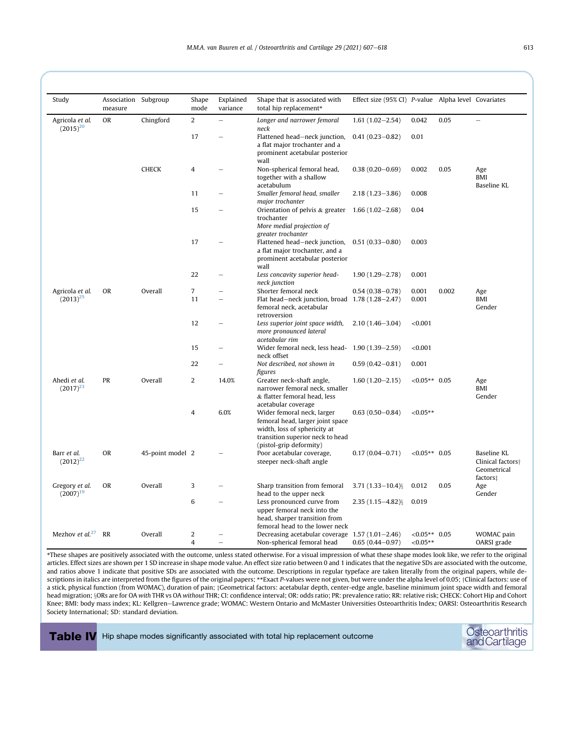<span id="page-6-0"></span>

| Study                                         | Association Subgroup<br>measure |                  | Shape<br>mode            | Explained<br>variance                                                                                    | Shape that is associated with<br>total hip replacement*                                                                                                       | Effect size (95% CI) P-value Alpha level Covariates |                 |                                  |                                                                         |
|-----------------------------------------------|---------------------------------|------------------|--------------------------|----------------------------------------------------------------------------------------------------------|---------------------------------------------------------------------------------------------------------------------------------------------------------------|-----------------------------------------------------|-----------------|----------------------------------|-------------------------------------------------------------------------|
| Agricola et al.<br><b>OR</b><br>$(2015)^{20}$ |                                 | Chingford        | $\overline{2}$           | $\equiv$                                                                                                 | Longer and narrower femoral<br>neck                                                                                                                           | $1.61(1.02 - 2.54)$                                 | 0.042           | 0.05                             |                                                                         |
|                                               |                                 | 17               | $\overline{\phantom{a}}$ | Flattened head-neck junction,<br>a flat major trochanter and a<br>prominent acetabular posterior<br>wall | $0.41(0.23 - 0.82)$                                                                                                                                           | 0.01                                                |                 |                                  |                                                                         |
|                                               | <b>CHECK</b>                    | 4                |                          | Non-spherical femoral head,<br>together with a shallow<br>acetabulum                                     | $0.38(0.20 - 0.69)$                                                                                                                                           | 0.002                                               | 0.05            | Age<br><b>BMI</b><br>Baseline KL |                                                                         |
|                                               |                                 |                  | 11                       |                                                                                                          | Smaller femoral head, smaller<br>major trochanter                                                                                                             | $2.18(1.23 - 3.86)$                                 | 0.008           |                                  |                                                                         |
|                                               |                                 |                  | 15                       |                                                                                                          | Orientation of pelvis & greater<br>trochanter<br>More medial projection of                                                                                    | $1.66(1.02 - 2.68)$                                 | 0.04            |                                  |                                                                         |
|                                               |                                 |                  | 17                       |                                                                                                          | greater trochanter<br>Flattened head-neck junction,<br>a flat major trochanter, and a<br>prominent acetabular posterior<br>wall                               | $0.51(0.33 - 0.80)$                                 | 0.003           |                                  |                                                                         |
|                                               |                                 |                  | 22                       |                                                                                                          | Less concavity superior head-<br>neck junction                                                                                                                | $1.90(1.29 - 2.78)$                                 | 0.001           |                                  |                                                                         |
| Agricola et al.                               | <b>OR</b>                       | Overall          | $\overline{7}$           | $\overline{\phantom{0}}$                                                                                 | Shorter femoral neck                                                                                                                                          | $0.54(0.38 - 0.78)$                                 | 0.001           | 0.002                            | Age                                                                     |
| $(2013)^{25}$                                 |                                 |                  | 11                       | $\overline{\phantom{0}}$                                                                                 | Flat head-neck junction, broad 1.78 (1.28-2.47)<br>femoral neck, acetabular<br>retroversion                                                                   |                                                     | 0.001           |                                  | <b>BMI</b><br>Gender                                                    |
|                                               |                                 | 12               |                          | Less superior joint space width,<br>more pronounced lateral<br>acetabular rim                            | $2.10(1.46 - 3.04)$                                                                                                                                           | < 0.001                                             |                 |                                  |                                                                         |
|                                               |                                 | 15               | $\overline{\phantom{0}}$ | Wider femoral neck, less head- 1.90 (1.39-2.59)<br>neck offset                                           |                                                                                                                                                               | < 0.001                                             |                 |                                  |                                                                         |
|                                               |                                 |                  | 22                       |                                                                                                          | Not described, not shown in<br>figures                                                                                                                        | $0.59(0.42 - 0.81)$                                 | 0.001           |                                  |                                                                         |
| Ahedi et al.<br>$(2017)^{23}$                 | PR                              | Overall          | 2                        | 14.0%                                                                                                    | Greater neck-shaft angle,<br>narrower femoral neck, smaller<br>& flatter femoral head, less<br>acetabular coverage                                            | $1.60(1.20 - 2.15)$                                 | $<0.05**$ 0.05  |                                  | Age<br><b>BMI</b><br>Gender                                             |
|                                               |                                 |                  | 4                        | 6.0%                                                                                                     | Wider femoral neck, larger<br>femoral head, larger joint space<br>width, loss of sphericity at<br>transition superior neck to head<br>(pistol-grip deformity) | $0.63(0.50 - 0.84)$                                 | ${<}0.05**$     |                                  |                                                                         |
| Barr et al.<br>$(2012)^{22}$                  | <b>OR</b>                       | 45-point model 2 |                          |                                                                                                          | Poor acetabular coverage,<br>steeper neck-shaft angle                                                                                                         | $0.17(0.04 - 0.71)$                                 | $< 0.05**$ 0.05 |                                  | Baseline KL<br>Clinical factors <sup>+</sup><br>Geometrical<br>factors: |
| Gregory et al.<br>$(2007)^{19}$               | <b>OR</b>                       | Overall          | 3                        |                                                                                                          | Sharp transition from femoral<br>head to the upper neck                                                                                                       | $3.71(1.33 - 10.4)$ §                               | 0.012           | 0.05                             | Age<br>Gender                                                           |
|                                               |                                 |                  | 6                        | $\overline{\phantom{0}}$                                                                                 | Less pronounced curve from<br>upper femoral neck into the<br>head, sharper transition from<br>femoral head to the lower neck                                  | $2.35(1.15 - 4.82)$ §                               | 0.019           |                                  |                                                                         |
| Mezhov et $al^{27}$                           | RR                              | Overall          | $\overline{2}$           |                                                                                                          | Decreasing acetabular coverage 1.57 (1.01-2.46)                                                                                                               |                                                     | $<0.05**$ 0.05  |                                  | WOMAC pain                                                              |
|                                               |                                 |                  | $\overline{4}$           |                                                                                                          | Non-spherical femoral head                                                                                                                                    | $0.65(0.44 - 0.97)$                                 | $< 0.05**$      |                                  | OARSI grade                                                             |

\*These shapes are positively associated with the outcome, unless stated otherwise. For a visual impression of what these shape modes look like, we refer to the original articles. Effect sizes are shown per 1 SD increase in shape mode value. An effect size ratio between 0 and 1 indicates that the negative SDs are associated with the outcome, and ratios above 1 indicate that positive SDs are associated with the outcome. Descriptions in regular typeface are taken literally from the original papers, while descriptions in italics are interpreted from the figures of the original papers; \*\*Exact P-values were not given, but were under the alpha level of 0.05; †Clinical factors: use of a stick, physical function (from WOMAC), duration of pain; ¿Geometrical factors: acetabular depth, center-edge angle, baseline minimum joint space width and femoral head migration; §ORs are for OA with THR vs OA without THR; CI: confidence interval; OR: odds ratio; PR: prevalence ratio; RR: relative risk; CHECK: Cohort Hip and Cohort Knee; BMI: body mass index; KL: Kellgren-Lawrence grade; WOMAC: Western Ontario and McMaster Universities Osteoarthritis Index; OARSI: Osteoarthritis Research Society International; SD: standard deviation.

Table IV Hip shape modes significantly associated with total hip replacement outcome

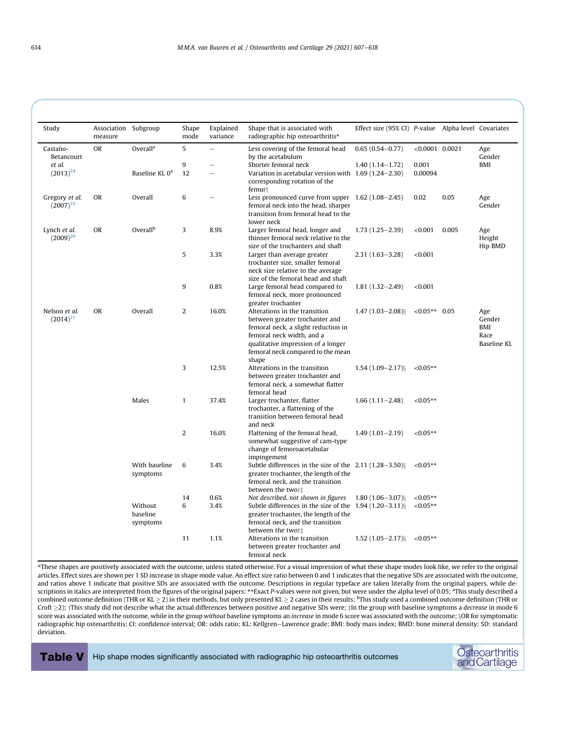<span id="page-7-0"></span>

| Study                                       | Association Subgroup<br>measure |                                 | Shape<br>mode | Explained<br>variance                                                                 | Shape that is associated with<br>radiographic hip osteoarthritis*                                                                                                                                                       | Effect size (95% CI) P-value Alpha level Covariates |                   |       |                                                    |
|---------------------------------------------|---------------------------------|---------------------------------|---------------|---------------------------------------------------------------------------------------|-------------------------------------------------------------------------------------------------------------------------------------------------------------------------------------------------------------------------|-----------------------------------------------------|-------------------|-------|----------------------------------------------------|
| Castaño-<br>Betancourt                      | <b>OR</b>                       | Overall <sup>a</sup>            | 5             | $\equiv$                                                                              | Less covering of the femoral head<br>by the acetabulum                                                                                                                                                                  | $0.65(0.54 - 0.77)$                                 | $< 0.0001$ 0.0021 |       | Age<br>Gender                                      |
| et al.                                      |                                 |                                 | 9             |                                                                                       | Shorter femoral neck                                                                                                                                                                                                    | $1.40(1.14 - 1.72)$                                 | 0.001             |       | BMI                                                |
| $(2013)^{24}$                               |                                 | Baseline KL 0 <sup>a</sup>      | 12            | $\equiv$                                                                              | Variation in acetabular version with 1.69 (1.24–2.30)<br>corresponding rotation of the<br>femur <sup>+</sup>                                                                                                            |                                                     | 0.00094           |       |                                                    |
| Gregory et al.<br>$(2007)^{19}$             | <b>OR</b>                       | Overall                         | 6             |                                                                                       | Less pronounced curve from upper $1.62$ (1.08–2.45)<br>femoral neck into the head, sharper<br>transition from femoral head to the<br>lower neck                                                                         |                                                     | 0.02              | 0.05  | Age<br>Gender                                      |
| Lynch et al.<br>$(2009)^{26}$               | <b>OR</b>                       | Overall <sup>b</sup>            | 3             | 8.9%                                                                                  | Larger femoral head, longer and<br>thinner femoral neck relative to the<br>size of the trochanters and shaft                                                                                                            | $1.73(1.25 - 2.39)$                                 | < 0.001           | 0.005 | Age<br>Height<br>Hip BMD                           |
|                                             |                                 |                                 | 5             | 3.3%                                                                                  | Larger than average greater<br>trochanter size, smaller femoral<br>neck size relative to the average<br>size of the femoral head and shaft                                                                              | $2.31(1.63 - 3.28)$                                 | < 0.001           |       |                                                    |
|                                             |                                 | 9                               | 0.8%          | Large femoral head compared to<br>femoral neck, more pronounced<br>greater trochanter | $1.81(1.32 - 2.49)$                                                                                                                                                                                                     | < 0.001                                             |                   |       |                                                    |
| Nelson et al.<br><b>OR</b><br>$(2014)^{21}$ |                                 | Overall                         | 2             | 16.0%                                                                                 | Alterations in the transition<br>between greater trochanter and<br>femoral neck, a slight reduction in<br>femoral neck width, and a<br>qualitative impression of a longer<br>femoral neck compared to the mean<br>shape | $1.47(1.03 - 2.08)$ §                               | $< 0.05**$ 0.05   |       | Age<br>Gender<br><b>BMI</b><br>Race<br>Baseline KL |
|                                             |                                 |                                 | 3             | 12.5%                                                                                 | Alterations in the transition<br>between greater trochanter and<br>femoral neck, a somewhat flatter<br>femoral head                                                                                                     | $1.54(1.09 - 2.17)$ §                               | $< 0.05**$        |       |                                                    |
|                                             |                                 | Males                           | $\mathbf{1}$  | 37.4%                                                                                 | Larger trochanter, flatter<br>trochanter, a flattening of the<br>transition between femoral head<br>and neck                                                                                                            | $1.66(1.11 - 2.48)$                                 | ${<}0.05**$       |       |                                                    |
|                                             |                                 |                                 | 2             | 16.0%                                                                                 | Flattening of the femoral head,<br>somewhat suggestive of cam-type<br>change of femoroacetabular<br>impingement                                                                                                         | $1.49(1.01 - 2.19)$                                 | ${<}0.05**$       |       |                                                    |
|                                             |                                 | With baseline<br>symptoms       | 6             | 3.4%                                                                                  | Subtle differences in the size of the $2.11$ (1.28–3.50)§<br>greater trochanter, the length of the<br>femoral neck, and the transition<br>between the two†‡                                                             |                                                     | $< 0.05**$        |       |                                                    |
|                                             |                                 |                                 | 14            | 0.6%                                                                                  | Not described, not shown in figures                                                                                                                                                                                     | $1.80(1.06 - 3.07)$ §                               | ${<}0.05**$       |       |                                                    |
|                                             |                                 | Without<br>baseline<br>symptoms | 6             | 3.4%                                                                                  | Subtle differences in the size of the $1.94$ (1.20-3.11)<br>greater trochanter, the length of the<br>femoral neck, and the transition<br>between the two†‡                                                              |                                                     | $< 0.05**$        |       |                                                    |
|                                             |                                 |                                 | 11            | 1.1%                                                                                  | Alterations in the transition<br>between greater trochanter and<br>femoral neck                                                                                                                                         | $1.52(1.05 - 2.17)$ §                               | ${<}0.05**$       |       |                                                    |

\*These shapes are positively associated with the outcome, unless stated otherwise. For a visual impression of what these shape modes look like, we refer to the original articles. Effect sizes are shown per 1 SD increase in shape mode value. An effect size ratio between 0 and 1 indicates that the negative SDs are associated with the outcome, and ratios above 1 indicate that positive SDs are associated with the outcome. Descriptions in regular typeface are taken literally from the original papers, while descriptions in italics are interpreted from the figures of the original papers; \*\*Exact P-values were not given, but were under the alpha level of 0.05; <sup>a</sup>This study described a combined outcome definition (THR or KL  $\geq 2$  ) in their methods, but only presented KL  $\geq 2$  cases in their results;  $^{\rm b}$ This study used a combined outcome definition (THR or Croft  $\geq$ 2); †This study did not describe what the actual differences between positive and negative SDs were; ‡In the group *with* baseline symptoms a *decrease* in mode 6 score was associated with the outcome, while in the group without baseline symptoms an increase in mode 6 score was associated with the outcome; §OR for symptomatic radiographic hip osteoarthritis; CI: confidence interval; OR: odds ratio; KL: Kellgren-Lawrence grade; BMI: body mass index; BMD: bone mineral density; SD: standard deviation.

Table V Hip shape modes significantly associated with radiographic hip osteoarthritis outcomes Osteoarthritis

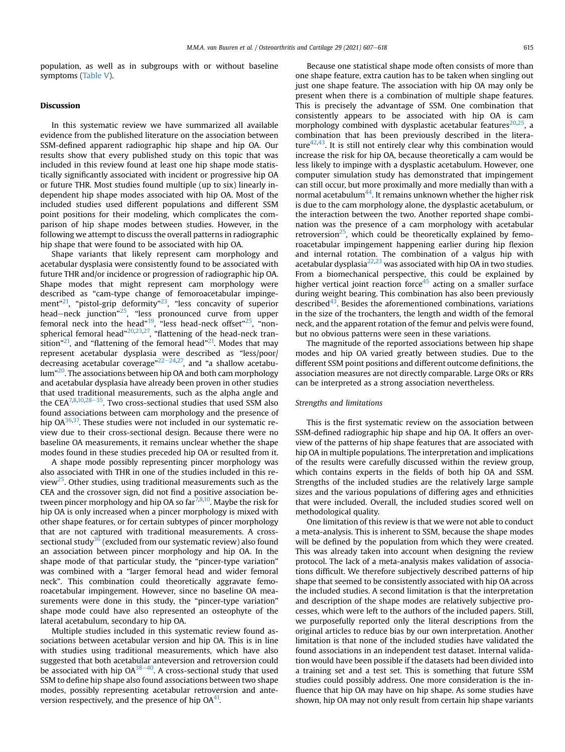population, as well as in subgroups with or without baseline symptoms [\(Table V](#page-7-0)).

# Discussion

In this systematic review we have summarized all available evidence from the published literature on the association between SSM-defined apparent radiographic hip shape and hip OA. Our results show that every published study on this topic that was included in this review found at least one hip shape mode statistically significantly associated with incident or progressive hip OA or future THR. Most studies found multiple (up to six) linearly independent hip shape modes associated with hip OA. Most of the included studies used different populations and different SSM point positions for their modeling, which complicates the comparison of hip shape modes between studies. However, in the following we attempt to discuss the overall patterns in radiographic hip shape that were found to be associated with hip OA.

Shape variants that likely represent cam morphology and acetabular dysplasia were consistently found to be associated with future THR and/or incidence or progression of radiographic hip OA. Shape modes that might represent cam morphology were described as "cam-type change of femoroacetabular impingement"<sup>21</sup>, "pistol-grip deformity"<sup>23</sup>, "less concavity of superior head–neck junction"<sup>25</sup>, "less pronounced curve from upper femoral neck into the head"<sup>[19](#page-10-0)</sup>, "less head-neck offset"<sup>25</sup>, "non-spherical femoral head"<sup>[20](#page-10-0),23,27</sup>, "flattening of the head-neck transition"<sup>21</sup>, and "flattening of the femoral head"<sup>21</sup>. Modes that may represent acetabular dysplasia were described as "less/poor/ decreasing acetabular coverage"<sup>[22](#page-10-0)–[24](#page-10-0),27</sup>, and "a shallow acetabu-lum"<sup>[20](#page-10-0)</sup>. The associations between hip OA and both cam morphology and acetabular dysplasia have already been proven in other studies that used traditional measurements, such as the alpha angle and the CEA<sup>[7,8,](#page-9-0)[10](#page-10-0),[28](#page-10-0)-35</sup>. Two cross-sectional studies that used SSM also found associations between cam morphology and the presence of hip  $OA^{36,37}$ . These studies were not included in our systematic review due to their cross-sectional design. Because there were no baseline OA measurements, it remains unclear whether the shape modes found in these studies preceded hip OA or resulted from it.

A shape mode possibly representing pincer morphology was also associated with THR in one of the studies included in this review<sup>25</sup>. Other studies, using traditional measurements such as the CEA and the crossover sign, did not find a positive association between pincer morphology and hip OA so  $far^{7,8,10}$  $far^{7,8,10}$  $far^{7,8,10}$  $far^{7,8,10}$ . Maybe the risk for hip OA is only increased when a pincer morphology is mixed with other shape features, or for certain subtypes of pincer morphology that are not captured with traditional measurements. A cross-sectional study<sup>[36](#page-11-0)</sup> (excluded from our systematic review) also found an association between pincer morphology and hip OA. In the shape mode of that particular study, the "pincer-type variation" was combined with a "larger femoral head and wider femoral neck". This combination could theoretically aggravate femoroacetabular impingement. However, since no baseline OA measurements were done in this study, the "pincer-type variation" shape mode could have also represented an osteophyte of the lateral acetabulum, secondary to hip OA.

Multiple studies included in this systematic review found associations between acetabular version and hip OA. This is in line with studies using traditional measurements, which have also suggested that both acetabular anteversion and retroversion could be associated with hip  $OA^{38-40}$  $OA^{38-40}$  $OA^{38-40}$ . A cross-sectional study that used SSM to define hip shape also found associations between two shape modes, possibly representing acetabular retroversion and anteversion respectively, and the presence of hip  $OA<sup>41</sup>$ .

Because one statistical shape mode often consists of more than one shape feature, extra caution has to be taken when singling out just one shape feature. The association with hip OA may only be present when there is a combination of multiple shape features. This is precisely the advantage of SSM. One combination that consistently appears to be associated with hip OA is cam morphology combined with dysplastic acetabular features $20,25$ , a combination that has been previously described in the literature $42,43$ . It is still not entirely clear why this combination would increase the risk for hip OA, because theoretically a cam would be less likely to impinge with a dysplastic acetabulum. However, one computer simulation study has demonstrated that impingement can still occur, but more proximally and more medially than with a normal acetabulum $^{44}$  $^{44}$  $^{44}$ . It remains unknown whether the higher risk is due to the cam morphology alone, the dysplastic acetabulum, or the interaction between the two. Another reported shape combination was the presence of a cam morphology with acetabular retroversion<sup>25</sup>, which could be theoretically explained by femoroacetabular impingement happening earlier during hip flexion and internal rotation. The combination of a valgus hip with acetabular dysplasia $^{22,23}$  $^{22,23}$  $^{22,23}$  $^{22,23}$  $^{22,23}$  was associated with hip OA in two studies. From a biomechanical perspective, this could be explained by higher vertical joint reaction force<sup>[45](#page-11-0)</sup> acting on a smaller surface during weight bearing. This combination has also been previously described $43$ . Besides the aforementioned combinations, variations in the size of the trochanters, the length and width of the femoral neck, and the apparent rotation of the femur and pelvis were found, but no obvious patterns were seen in these variations.

The magnitude of the reported associations between hip shape modes and hip OA varied greatly between studies. Due to the different SSM point positions and different outcome definitions, the association measures are not directly comparable. Large ORs or RRs can be interpreted as a strong association nevertheless.

#### Strengths and limitations

This is the first systematic review on the association between SSM-defined radiographic hip shape and hip OA. It offers an overview of the patterns of hip shape features that are associated with hip OA in multiple populations. The interpretation and implications of the results were carefully discussed within the review group, which contains experts in the fields of both hip OA and SSM. Strengths of the included studies are the relatively large sample sizes and the various populations of differing ages and ethnicities that were included. Overall, the included studies scored well on methodological quality.

One limitation of this review is that we were not able to conduct a meta-analysis. This is inherent to SSM, because the shape modes will be defined by the population from which they were created. This was already taken into account when designing the review protocol. The lack of a meta-analysis makes validation of associations difficult. We therefore subjectively described patterns of hip shape that seemed to be consistently associated with hip OA across the included studies. A second limitation is that the interpretation and description of the shape modes are relatively subjective processes, which were left to the authors of the included papers. Still, we purposefully reported only the literal descriptions from the original articles to reduce bias by our own interpretation. Another limitation is that none of the included studies have validated the found associations in an independent test dataset. Internal validation would have been possible if the datasets had been divided into a training set and a test set. This is something that future SSM studies could possibly address. One more consideration is the influence that hip OA may have on hip shape. As some studies have shown, hip OA may not only result from certain hip shape variants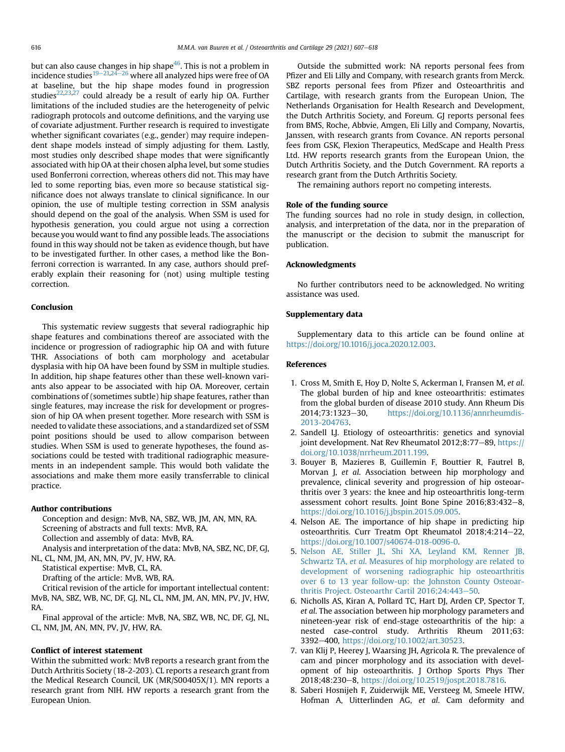<span id="page-9-0"></span>but can also cause changes in hip shape<sup>46</sup>. This is not a problem in incidence studies<sup>[19](#page-10-0)–[21,24](#page-10-0)–[26](#page-10-0)</sup> where all analyzed hips were free of OA at baseline, but the hip shape modes found in progression studies<sup>[22,23](#page-10-0),[27](#page-10-0)</sup> could already be a result of early hip OA. Further limitations of the included studies are the heterogeneity of pelvic radiograph protocols and outcome definitions, and the varying use of covariate adjustment. Further research is required to investigate whether significant covariates (e.g., gender) may require independent shape models instead of simply adjusting for them. Lastly, most studies only described shape modes that were significantly associated with hip OA at their chosen alpha level, but some studies used Bonferroni correction, whereas others did not. This may have led to some reporting bias, even more so because statistical significance does not always translate to clinical significance. In our opinion, the use of multiple testing correction in SSM analysis should depend on the goal of the analysis. When SSM is used for hypothesis generation, you could argue not using a correction because you would want to find any possible leads. The associations found in this way should not be taken as evidence though, but have to be investigated further. In other cases, a method like the Bonferroni correction is warranted. In any case, authors should preferably explain their reasoning for (not) using multiple testing correction.

#### Conclusion

This systematic review suggests that several radiographic hip shape features and combinations thereof are associated with the incidence or progression of radiographic hip OA and with future THR. Associations of both cam morphology and acetabular dysplasia with hip OA have been found by SSM in multiple studies. In addition, hip shape features other than these well-known variants also appear to be associated with hip OA. Moreover, certain combinations of (sometimes subtle) hip shape features, rather than single features, may increase the risk for development or progression of hip OA when present together. More research with SSM is needed to validate these associations, and a standardized set of SSM point positions should be used to allow comparison between studies. When SSM is used to generate hypotheses, the found associations could be tested with traditional radiographic measurements in an independent sample. This would both validate the associations and make them more easily transferrable to clinical practice.

#### Author contributions

Conception and design: MvB, NA, SBZ, WB, JM, AN, MN, RA. Screening of abstracts and full texts: MvB, RA. Collection and assembly of data: MvB, RA.

Analysis and interpretation of the data: MvB, NA, SBZ, NC, DF, GJ, NL, CL, NM, JM, AN, MN, PV, JV, HW, RA.

Statistical expertise: MvB, CL, RA.

Drafting of the article: MvB, WB, RA.

Critical revision of the article for important intellectual content: MvB, NA, SBZ, WB, NC, DF, GJ, NL, CL, NM, JM, AN, MN, PV, JV, HW, RA.

Final approval of the article: MvB, NA, SBZ, WB, NC, DF, GJ, NL, CL, NM, JM, AN, MN, PV, JV, HW, RA.

# Conflict of interest statement

Within the submitted work: MvB reports a research grant from the Dutch Arthritis Society (18-2-203). CL reports a research grant from the Medical Research Council, UK (MR/S00405X/1). MN reports a research grant from NIH. HW reports a research grant from the European Union.

Outside the submitted work: NA reports personal fees from Pfizer and Eli Lilly and Company, with research grants from Merck. SBZ reports personal fees from Pfizer and Osteoarthritis and Cartilage, with research grants from the European Union, The Netherlands Organisation for Health Research and Development, the Dutch Arthritis Society, and Foreum. GJ reports personal fees from BMS, Roche, Abbvie, Amgen, Eli Lilly and Company, Novartis, Janssen, with research grants from Covance. AN reports personal fees from GSK, Flexion Therapeutics, MedScape and Health Press Ltd. HW reports research grants from the European Union, the Dutch Arthritis Society, and the Dutch Government. RA reports a research grant from the Dutch Arthritis Society.

The remaining authors report no competing interests.

## Role of the funding source

The funding sources had no role in study design, in collection, analysis, and interpretation of the data, nor in the preparation of the manuscript or the decision to submit the manuscript for publication.

#### Acknowledgments

No further contributors need to be acknowledged. No writing assistance was used.

### Supplementary data

Supplementary data to this article can be found online at <https://doi.org/10.1016/j.joca.2020.12.003>.

#### References

- 1. Cross M, Smith E, Hoy D, Nolte S, Ackerman I, Fransen M, et al. The global burden of hip and knee osteoarthritis: estimates from the global burden of disease 2010 study. Ann Rheum Dis 2014;73:1323-30, [https://doi.org/10.1136/annrheumdis-](https://doi.org/10.1136/annrheumdis-2013-204763)[2013-204763.](https://doi.org/10.1136/annrheumdis-2013-204763)
- 2. Sandell LJ. Etiology of osteoarthritis: genetics and synovial joint development. Nat Rev Rheumatol 2012;8:77-89, [https://](https://doi.org/10.1038/nrrheum.2011.199) [doi.org/10.1038/nrrheum.2011.199.](https://doi.org/10.1038/nrrheum.2011.199)
- 3. Bouyer B, Mazieres B, Guillemin F, Bouttier R, Fautrel B, Morvan J, et al. Association between hip morphology and prevalence, clinical severity and progression of hip osteoarthritis over 3 years: the knee and hip osteoarthritis long-term assessment cohort results. Joint Bone Spine 2016;83:432-8, <https://doi.org/10.1016/j.jbspin.2015.09.005>.
- 4. Nelson AE. The importance of hip shape in predicting hip osteoarthritis. Curr Treatm Opt Rheumatol 2018;4:214-22, [https://doi.org/10.1007/s40674-018-0096-0.](https://doi.org/10.1007/s40674-018-0096-0)
- 5. [Nelson AE, Stiller JL, Shi XA, Leyland KM, Renner JB,](http://refhub.elsevier.com/S1063-4584(20)31219-X/sref5) Schwartz TA, et al[. Measures of hip morphology are related to](http://refhub.elsevier.com/S1063-4584(20)31219-X/sref5) [development of worsening radiographic hip osteoarthritis](http://refhub.elsevier.com/S1063-4584(20)31219-X/sref5) [over 6 to 13 year follow-up: the Johnston County Osteoar](http://refhub.elsevier.com/S1063-4584(20)31219-X/sref5)[thritis Project. Osteoarthr Cartil 2016;24:443](http://refhub.elsevier.com/S1063-4584(20)31219-X/sref5)-[50.](http://refhub.elsevier.com/S1063-4584(20)31219-X/sref5)
- 6. Nicholls AS, Kiran A, Pollard TC, Hart DJ, Arden CP, Spector T, et al. The association between hip morphology parameters and nineteen-year risk of end-stage osteoarthritis of the hip: a nested case-control study. Arthritis Rheum 2011;63: 3392-400, [https://doi.org/10.1002/art.30523.](https://doi.org/10.1002/art.30523)
- 7. van Klij P, Heerey J, Waarsing JH, Agricola R. The prevalence of cam and pincer morphology and its association with development of hip osteoarthritis. J Orthop Sports Phys Ther 2018;48:230-8, [https://doi.org/10.2519/jospt.2018.7816.](https://doi.org/10.2519/jospt.2018.7816)
- 8. Saberi Hosnijeh F, Zuiderwijk ME, Versteeg M, Smeele HTW, Hofman A, Uitterlinden AG, et al. Cam deformity and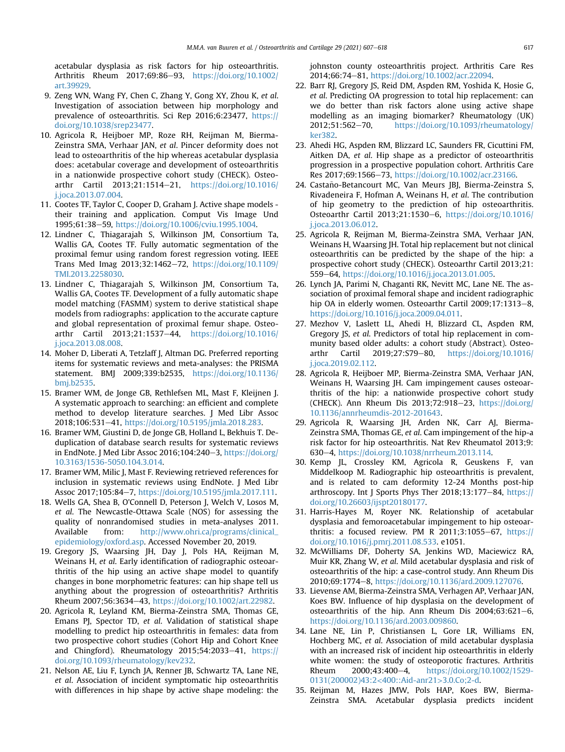<span id="page-10-0"></span>acetabular dysplasia as risk factors for hip osteoarthritis. Arthritis Rheum 2017;69:86-93, [https://doi.org/10.1002/](https://doi.org/10.1002/art.39929) [art.39929.](https://doi.org/10.1002/art.39929)

- 9. Zeng WN, Wang FY, Chen C, Zhang Y, Gong XY, Zhou K, et al. Investigation of association between hip morphology and prevalence of osteoarthritis. Sci Rep 2016;6:23477, [https://](https://doi.org/10.1038/srep23477) [doi.org/10.1038/srep23477](https://doi.org/10.1038/srep23477).
- 10. Agricola R, Heijboer MP, Roze RH, Reijman M, Bierma-Zeinstra SMA, Verhaar JAN, et al. Pincer deformity does not lead to osteoarthritis of the hip whereas acetabular dysplasia does: acetabular coverage and development of osteoarthritis in a nationwide prospective cohort study (CHECK). Osteoarthr Cartil 2013;21:1514-21, [https://doi.org/10.1016/](https://doi.org/10.1016/j.joca.2013.07.004) [j.joca.2013.07.004.](https://doi.org/10.1016/j.joca.2013.07.004)
- 11. Cootes TF, Taylor C, Cooper D, Graham J. Active shape models their training and application. Comput Vis Image Und 1995;61:38-59, [https://doi.org/10.1006/cviu.1995.1004.](https://doi.org/10.1006/cviu.1995.1004)
- 12. Lindner C, Thiagarajah S, Wilkinson JM, Consortium Ta, Wallis GA, Cootes TF. Fully automatic segmentation of the proximal femur using random forest regression voting. IEEE Trans Med Imag 2013;32:1462-72, [https://doi.org/10.1109/](https://doi.org/10.1109/TMI.2013.2258030) [TMI.2013.2258030.](https://doi.org/10.1109/TMI.2013.2258030)
- 13. Lindner C, Thiagarajah S, Wilkinson JM, Consortium Ta, Wallis GA, Cootes TF. Development of a fully automatic shape model matching (FASMM) system to derive statistical shape models from radiographs: application to the accurate capture and global representation of proximal femur shape. Osteoarthr Cartil 2013;21:1537-44, [https://doi.org/10.1016/](https://doi.org/10.1016/j.joca.2013.08.008) [j.joca.2013.08.008.](https://doi.org/10.1016/j.joca.2013.08.008)
- 14. Moher D, Liberati A, Tetzlaff J, Altman DG. Preferred reporting items for systematic reviews and meta-analyses: the PRISMA statement. BMJ 2009;339:b2535, [https://doi.org/10.1136/](https://doi.org/10.1136/bmj.b2535) [bmj.b2535](https://doi.org/10.1136/bmj.b2535).
- 15. Bramer WM, de Jonge GB, Rethlefsen ML, Mast F, Kleijnen J. A systematic approach to searching: an efficient and complete method to develop literature searches. J Med Libr Assoc 2018;106:531-41, [https://doi.org/10.5195/jmla.2018.283.](https://doi.org/10.5195/jmla.2018.283)
- 16. Bramer WM, Giustini D, de Jonge GB, Holland L, Bekhuis T. Deduplication of database search results for systematic reviews in EndNote. J Med Libr Assoc 2016;104:240-3, [https://doi.org/](https://doi.org/10.3163/1536-5050.104.3.014) [10.3163/1536-5050.104.3.014](https://doi.org/10.3163/1536-5050.104.3.014).
- 17. Bramer WM, Milic J, Mast F. Reviewing retrieved references for inclusion in systematic reviews using EndNote. J Med Libr Assoc 2017;105:84-7, <https://doi.org/10.5195/jmla.2017.111>.
- 18. Wells GA, Shea B, O'Connell D, Peterson J, Welch V, Losos M, et al. The Newcastle-Ottawa Scale (NOS) for assessing the quality of nonrandomised studies in meta-analyses 2011. Available from: [http://www.ohri.ca/programs/clinical\\_](http://www.ohri.ca/programs/clinical_epidemiology/oxford.asp) [epidemiology/oxford.asp.](http://www.ohri.ca/programs/clinical_epidemiology/oxford.asp) Accessed November 20, 2019.
- 19. Gregory JS, Waarsing JH, Day J, Pols HA, Reijman M, Weinans H, et al. Early identification of radiographic osteoarthritis of the hip using an active shape model to quantify changes in bone morphometric features: can hip shape tell us anything about the progression of osteoarthritis? Arthritis Rheum 2007;56:3634-43, [https://doi.org/10.1002/art.22982.](https://doi.org/10.1002/art.22982)
- 20. Agricola R, Leyland KM, Bierma-Zeinstra SMA, Thomas GE, Emans PJ, Spector TD, et al. Validation of statistical shape modelling to predict hip osteoarthritis in females: data from two prospective cohort studies (Cohort Hip and Cohort Knee and Chingford). Rheumatology  $2015;54:2033-41$ , [https://](https://doi.org/10.1093/rheumatology/kev232) [doi.org/10.1093/rheumatology/kev232.](https://doi.org/10.1093/rheumatology/kev232)
- 21. Nelson AE, Liu F, Lynch JA, Renner JB, Schwartz TA, Lane NE, et al. Association of incident symptomatic hip osteoarthritis with differences in hip shape by active shape modeling: the

johnston county osteoarthritis project. Arthritis Care Res 2014;66:74-81, <https://doi.org/10.1002/acr.22094>.

- 22. Barr RJ, Gregory JS, Reid DM, Aspden RM, Yoshida K, Hosie G, et al. Predicting OA progression to total hip replacement: can we do better than risk factors alone using active shape modelling as an imaging biomarker? Rheumatology (UK) 2012;51:562-70, [https://doi.org/10.1093/rheumatology/](https://doi.org/10.1093/rheumatology/ker382) [ker382](https://doi.org/10.1093/rheumatology/ker382).
- 23. Ahedi HG, Aspden RM, Blizzard LC, Saunders FR, Cicuttini FM, Aitken DA, et al. Hip shape as a predictor of osteoarthritis progression in a prospective population cohort. Arthritis Care Res 2017;69:1566-73, [https://doi.org/10.1002/acr.23166.](https://doi.org/10.1002/acr.23166)
- 24. Castaño-Betancourt MC, Van Meurs JBJ, Bierma-Zeinstra S, Rivadeneira F, Hofman A, Weinans H, et al. The contribution of hip geometry to the prediction of hip osteoarthritis. Osteoarthr Cartil 2013;21:1530-6, [https://doi.org/10.1016/](https://doi.org/10.1016/j.joca.2013.06.012) [j.joca.2013.06.012.](https://doi.org/10.1016/j.joca.2013.06.012)
- 25. Agricola R, Reijman M, Bierma-Zeinstra SMA, Verhaar JAN, Weinans H, Waarsing JH. Total hip replacement but not clinical osteoarthritis can be predicted by the shape of the hip: a prospective cohort study (CHECK). Osteoarthr Cartil 2013;21: 559–64, <https://doi.org/10.1016/j.joca.2013.01.005>.
- 26. Lynch JA, Parimi N, Chaganti RK, Nevitt MC, Lane NE. The association of proximal femoral shape and incident radiographic hip OA in elderly women. Osteoarthr Cartil 2009;17:1313-8, <https://doi.org/10.1016/j.joca.2009.04.011>.
- 27. Mezhov V, Laslett LL, Ahedi H, Blizzard CL, Aspden RM, Gregory JS, et al. Predictors of total hip replacement in community based older adults: a cohort study (Abstract). Osteoarthr Cartil 2019;27:S79-80, [https://doi.org/10.1016/](https://doi.org/10.1016/j.joca.2019.02.112) [j.joca.2019.02.112.](https://doi.org/10.1016/j.joca.2019.02.112)
- 28. Agricola R, Heijboer MP, Bierma-Zeinstra SMA, Verhaar JAN, Weinans H, Waarsing JH. Cam impingement causes osteoarthritis of the hip: a nationwide prospective cohort study (CHECK). Ann Rheum Dis  $2013;72;918-23$ , [https://doi.org/](https://doi.org/10.1136/annrheumdis-2012-201643) [10.1136/annrheumdis-2012-201643.](https://doi.org/10.1136/annrheumdis-2012-201643)
- 29. Agricola R, Waarsing JH, Arden NK, Carr AJ, Bierma-Zeinstra SMA, Thomas GE, et al. Cam impingement of the hip-a risk factor for hip osteoarthritis. Nat Rev Rheumatol 2013;9: 630e4, [https://doi.org/10.1038/nrrheum.2013.114.](https://doi.org/10.1038/nrrheum.2013.114)
- 30. Kemp JL, Crossley KM, Agricola R, Geuskens F, van Middelkoop M. Radiographic hip osteoarthritis is prevalent, and is related to cam deformity 12-24 Months post-hip arthroscopy. Int J Sports Phys Ther  $2018;13:177-84$ , [https://](https://doi.org/10.26603/ijspt20180177) [doi.org/10.26603/ijspt20180177](https://doi.org/10.26603/ijspt20180177).
- 31. Harris-Hayes M, Royer NK. Relationship of acetabular dysplasia and femoroacetabular impingement to hip osteoarthritis: a focused review. PM R 2011;3:1055-67, [https://](https://doi.org/10.1016/j.pmrj.2011.08.533) [doi.org/10.1016/j.pmrj.2011.08.533](https://doi.org/10.1016/j.pmrj.2011.08.533). e1051.
- 32. McWilliams DF, Doherty SA, Jenkins WD, Maciewicz RA, Muir KR, Zhang W, et al. Mild acetabular dysplasia and risk of osteoarthritis of the hip: a case-control study. Ann Rheum Dis 2010;69:1774-8, [https://doi.org/10.1136/ard.2009.127076.](https://doi.org/10.1136/ard.2009.127076)
- 33. Lievense AM, Bierma-Zeinstra SMA, Verhagen AP, Verhaar JAN, Koes BW. Influence of hip dysplasia on the development of osteoarthritis of the hip. Ann Rheum Dis  $2004;63:621-6$ , <https://doi.org/10.1136/ard.2003.009860>.
- 34. Lane NE, Lin P, Christiansen L, Gore LR, Williams EN, Hochberg MC, et al. Association of mild acetabular dysplasia with an increased risk of incident hip osteoarthritis in elderly white women: the study of osteoporotic fractures. Arthritis Rheum 2000;43:400-4, [https://doi.org/10.1002/1529-](https://doi.org/10.1002/1529-0131(200002)43:2<400::Aid-anr21>3.0.Co;2-d) [0131\(200002\)43:2](https://doi.org/10.1002/1529-0131(200002)43:2<400::Aid-anr21>3.0.Co;2-d)<400::Aid-anr21>3.0.Co;2-d.
- 35. Reijman M, Hazes JMW, Pols HAP, Koes BW, Bierma-Zeinstra SMA. Acetabular dysplasia predicts incident